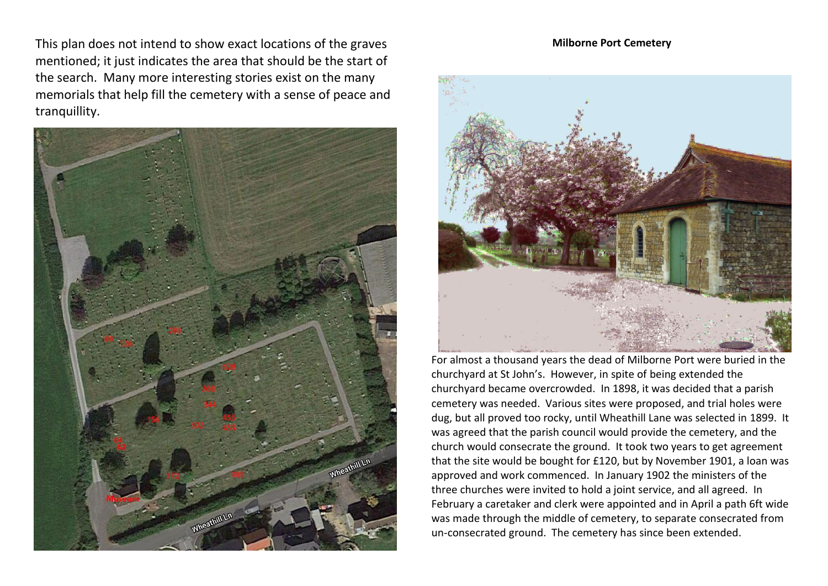This plan does not intend to show exact locations of the graves mentioned; it just indicates the area that should be the start of the search. Many more interesting stories exist on the many memorials that help fill the cemetery with a sense of peace and tranquillity.



#### **Milborne Port Cemetery**



For almost a thousand years the dead of Milborne Port were buried in the churchyard at St John's. However, in spite of being extended the churchyard became overcrowded. In 1898, it was decided that a parish cemetery was needed. Various sites were proposed, and trial holes were dug, but all proved too rocky, until Wheathill Lane was selected in 1899. It was agreed that the parish council would provide the cemetery, and the church would consecrate the ground. It took two years to get agreement that the site would be bought for £120, but by November 1901, a loan was approved and work commenced. In January 1902 the ministers of the three churches were invited to hold a joint service, and all agreed. In February a caretaker and clerk were appointed and in April a path 6ft wide was made through the middle of cemetery, to separate consecrated from un-consecrated ground. The cemetery has since been extended.